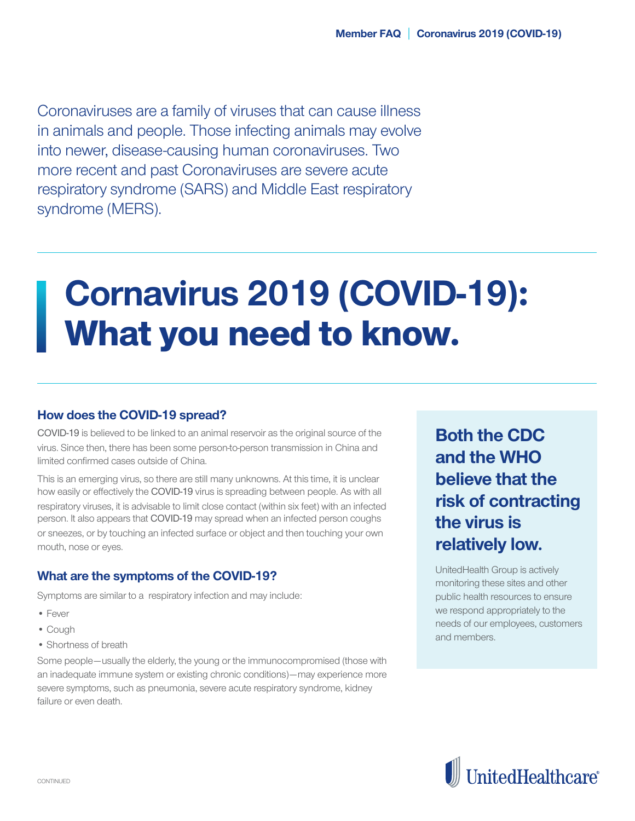Coronaviruses are a family of viruses that can cause illness in animals and people. Those infecting animals may evolve into newer, disease-causing human coronaviruses. Two more recent and past Coronaviruses are severe acute respiratory syndrome (SARS) and Middle East respiratory syndrome (MERS).

# **Cornavirus 2019 (COVID-19)**: What you need to know.

#### **How does the COVID-19 spread?**

COVID-19 is believed to be linked to an animal reservoir as the original source of the virus. Since then, there has been some person-to-person transmission in China and limited confirmed cases outside of China.

This is an emerging virus, so there are still many unknowns. At this time, it is unclear how easily or effectively the COVID-19 virus is spreading between people. As with all respiratory viruses, it is advisable to limit close contact (within six feet) with an infected person. It also appears that COVID-19 may spread when an infected person coughs or sneezes, or by touching an infected surface or object and then touching your own mouth, nose or eyes.

#### **What are the symptoms of the COVID-19?**

Symptoms are similar to a respiratory infection and may include:

- Fever
- Cough
- Shortness of breath

Some people—usually the elderly, the young or the immunocompromised (those with an inadequate immune system or existing chronic conditions)—may experience more severe symptoms, such as pneumonia, severe acute respiratory syndrome, kidney failure or even death.

**Both the CDC and the WHO believe that the risk of contracting the virus is relatively low.**

UnitedHealth Group is actively monitoring these sites and other public health resources to ensure we respond appropriately to the needs of our employees, customers and members.